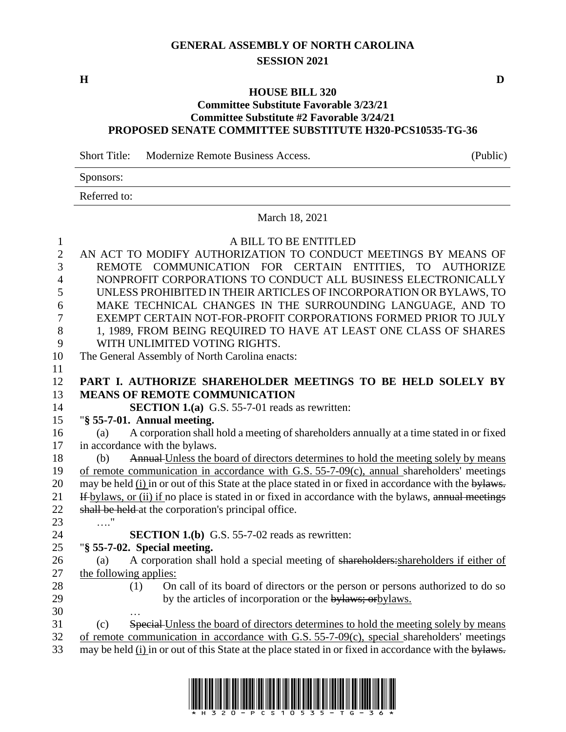# **GENERAL ASSEMBLY OF NORTH CAROLINA SESSION 2021**

#### **HOUSE BILL 320**

#### **Committee Substitute Favorable 3/23/21 Committee Substitute #2 Favorable 3/24/21 PROPOSED SENATE COMMITTEE SUBSTITUTE H320-PCS10535-TG-36**

Short Title: Modernize Remote Business Access. (Public)

Sponsors:

Referred to:

#### March 18, 2021

| 1              | A BILL TO BE ENTITLED                                                                                  |
|----------------|--------------------------------------------------------------------------------------------------------|
| $\overline{2}$ | AN ACT TO MODIFY AUTHORIZATION TO CONDUCT MEETINGS BY MEANS OF                                         |
| 3              | REMOTE COMMUNICATION FOR CERTAIN ENTITIES, TO AUTHORIZE                                                |
| $\overline{4}$ | NONPROFIT CORPORATIONS TO CONDUCT ALL BUSINESS ELECTRONICALLY                                          |
| 5              | UNLESS PROHIBITED IN THEIR ARTICLES OF INCORPORATION OR BYLAWS, TO                                     |
| 6              | MAKE TECHNICAL CHANGES IN THE SURROUNDING LANGUAGE, AND TO                                             |
| $\overline{7}$ | EXEMPT CERTAIN NOT-FOR-PROFIT CORPORATIONS FORMED PRIOR TO JULY                                        |
| 8              | 1, 1989, FROM BEING REQUIRED TO HAVE AT LEAST ONE CLASS OF SHARES                                      |
| 9              | WITH UNLIMITED VOTING RIGHTS.                                                                          |
| 10             | The General Assembly of North Carolina enacts:                                                         |
| 11             |                                                                                                        |
| 12             | PART I. AUTHORIZE SHAREHOLDER MEETINGS TO BE HELD SOLELY BY                                            |
| 13             | <b>MEANS OF REMOTE COMMUNICATION</b>                                                                   |
| 14             | <b>SECTION 1.(a)</b> G.S. 55-7-01 reads as rewritten:                                                  |
| 15             | " $§$ 55-7-01. Annual meeting.                                                                         |
| 16             | A corporation shall hold a meeting of shareholders annually at a time stated in or fixed<br>(a)        |
| 17             | in accordance with the bylaws.                                                                         |
| 18             | Annual Unless the board of directors determines to hold the meeting solely by means<br>(b)             |
| 19             | of remote communication in accordance with G.S. 55-7-09(c), annual shareholders' meetings              |
| 20             | may be held (i) in or out of this State at the place stated in or fixed in accordance with the bylaws. |
| 21             | If bylaws, or (ii) if no place is stated in or fixed in accordance with the bylaws, annual meetings    |
| 22             | shall be held at the corporation's principal office.                                                   |
| 23             | . "                                                                                                    |
| 24             | <b>SECTION 1.(b)</b> G.S. 55-7-02 reads as rewritten:                                                  |
| 25             | "§ 55-7-02. Special meeting.                                                                           |
| 26             | A corporation shall hold a special meeting of shareholders: shareholders if either of<br>(a)           |
| 27             | the following applies:                                                                                 |
| 28             | On call of its board of directors or the person or persons authorized to do so<br>(1)                  |
| 29             | by the articles of incorporation or the bylaws; or bylaws.                                             |
| 30             |                                                                                                        |
| 31             | Special-Unless the board of directors determines to hold the meeting solely by means<br>(c)            |
| 32             | of remote communication in accordance with G.S. 55-7-09(c), special shareholders' meetings             |
| 33             | may be held (i) in or out of this State at the place stated in or fixed in accordance with the bylaws. |



**H D**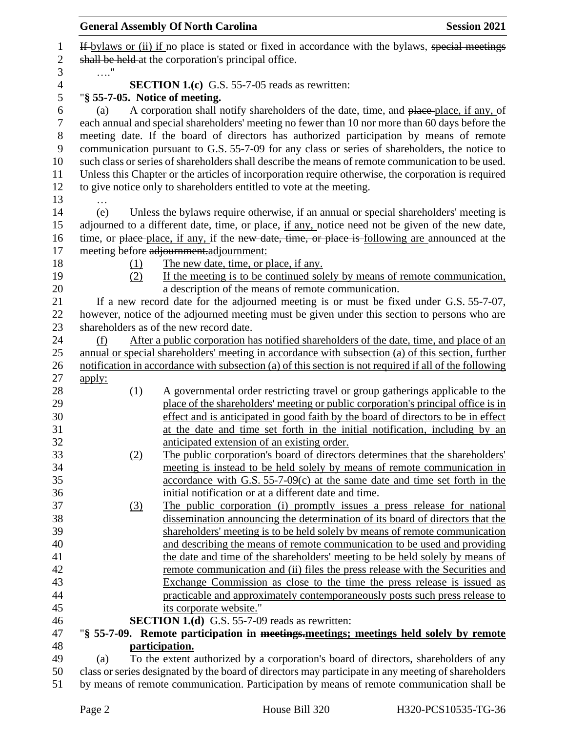|                |                                                                                           | <b>General Assembly Of North Carolina</b>                                                                                                                              | <b>Session 2021</b> |
|----------------|-------------------------------------------------------------------------------------------|------------------------------------------------------------------------------------------------------------------------------------------------------------------------|---------------------|
| 1              |                                                                                           | If bylaws or (ii) if no place is stated or fixed in accordance with the bylaws, special meetings                                                                       |                     |
| $\mathbf{2}$   | shall be held at the corporation's principal office.                                      |                                                                                                                                                                        |                     |
| 3              | . "                                                                                       |                                                                                                                                                                        |                     |
| $\overline{4}$ |                                                                                           | <b>SECTION 1.(c)</b> G.S. 55-7-05 reads as rewritten:                                                                                                                  |                     |
| 5              | "§ 55-7-05. Notice of meeting.                                                            |                                                                                                                                                                        |                     |
| 6              | (a)                                                                                       | A corporation shall notify shareholders of the date, time, and place-place, if any, of                                                                                 |                     |
| $\tau$         |                                                                                           | each annual and special shareholders' meeting no fewer than 10 nor more than 60 days before the                                                                        |                     |
| $8\,$          |                                                                                           | meeting date. If the board of directors has authorized participation by means of remote                                                                                |                     |
| $\mathbf{9}$   |                                                                                           | communication pursuant to G.S. 55-7-09 for any class or series of shareholders, the notice to                                                                          |                     |
| 10             |                                                                                           | such class or series of shareholders shall describe the means of remote communication to be used.                                                                      |                     |
| 11             |                                                                                           | Unless this Chapter or the articles of incorporation require otherwise, the corporation is required                                                                    |                     |
| 12             |                                                                                           | to give notice only to shareholders entitled to vote at the meeting.                                                                                                   |                     |
| 13             |                                                                                           |                                                                                                                                                                        |                     |
| 14             | (e)                                                                                       | Unless the bylaws require otherwise, if an annual or special shareholders' meeting is                                                                                  |                     |
| 15             |                                                                                           | adjourned to a different date, time, or place, if any, notice need not be given of the new date,                                                                       |                     |
| 16             |                                                                                           | time, or place-place, if any, if the new date, time, or place is following are announced at the                                                                        |                     |
| 17             |                                                                                           | meeting before adjournment.adjournment:                                                                                                                                |                     |
| 18             | (1)                                                                                       | The new date, time, or place, if any.                                                                                                                                  |                     |
| 19             | (2)                                                                                       | If the meeting is to be continued solely by means of remote communication,                                                                                             |                     |
| 20             |                                                                                           | a description of the means of remote communication.                                                                                                                    |                     |
| 21             |                                                                                           | If a new record date for the adjourned meeting is or must be fixed under G.S. 55-7-07,                                                                                 |                     |
| 22             |                                                                                           | however, notice of the adjourned meeting must be given under this section to persons who are                                                                           |                     |
| 23             |                                                                                           | shareholders as of the new record date.                                                                                                                                |                     |
| 24             | (f)                                                                                       | After a public corporation has notified shareholders of the date, time, and place of an                                                                                |                     |
| 25             |                                                                                           | annual or special shareholders' meeting in accordance with subsection (a) of this section, further                                                                     |                     |
| 26             |                                                                                           | notification in accordance with subsection (a) of this section is not required if all of the following                                                                 |                     |
| 27             | <u>apply:</u>                                                                             |                                                                                                                                                                        |                     |
| 28             | (1)                                                                                       | A governmental order restricting travel or group gatherings applicable to the                                                                                          |                     |
| 29<br>30       |                                                                                           | place of the shareholders' meeting or public corporation's principal office is in<br>effect and is anticipated in good faith by the board of directors to be in effect |                     |
| 31             |                                                                                           | at the date and time set forth in the initial notification, including by an                                                                                            |                     |
| 32             |                                                                                           | anticipated extension of an existing order.                                                                                                                            |                     |
| 33             | (2)                                                                                       | The public corporation's board of directors determines that the shareholders'                                                                                          |                     |
| 34             |                                                                                           | meeting is instead to be held solely by means of remote communication in                                                                                               |                     |
| 35             |                                                                                           | accordance with G.S. $55-7-09(c)$ at the same date and time set forth in the                                                                                           |                     |
| 36             |                                                                                           | initial notification or at a different date and time.                                                                                                                  |                     |
| 37             | (3)                                                                                       | The public corporation (i) promptly issues a press release for national                                                                                                |                     |
| 38             |                                                                                           | dissemination announcing the determination of its board of directors that the                                                                                          |                     |
| 39             |                                                                                           | shareholders' meeting is to be held solely by means of remote communication                                                                                            |                     |
| 40             |                                                                                           | and describing the means of remote communication to be used and providing                                                                                              |                     |
| 41             |                                                                                           | the date and time of the shareholders' meeting to be held solely by means of                                                                                           |                     |
| 42             |                                                                                           | remote communication and (ii) files the press release with the Securities and                                                                                          |                     |
| 43             |                                                                                           | Exchange Commission as close to the time the press release is issued as                                                                                                |                     |
| 44             |                                                                                           | practicable and approximately contemporaneously posts such press release to                                                                                            |                     |
| 45             |                                                                                           | its corporate website."                                                                                                                                                |                     |
| 46             |                                                                                           | <b>SECTION 1.(d)</b> G.S. 55-7-09 reads as rewritten:                                                                                                                  |                     |
| 47             |                                                                                           | "§ 55-7-09. Remote participation in meetings-meetings; meetings held solely by remote                                                                                  |                     |
| 48             | participation.                                                                            |                                                                                                                                                                        |                     |
| 49             | (a)                                                                                       | To the extent authorized by a corporation's board of directors, shareholders of any                                                                                    |                     |
| 50             |                                                                                           | class or series designated by the board of directors may participate in any meeting of shareholders                                                                    |                     |
| 51             | by means of remote communication. Participation by means of remote communication shall be |                                                                                                                                                                        |                     |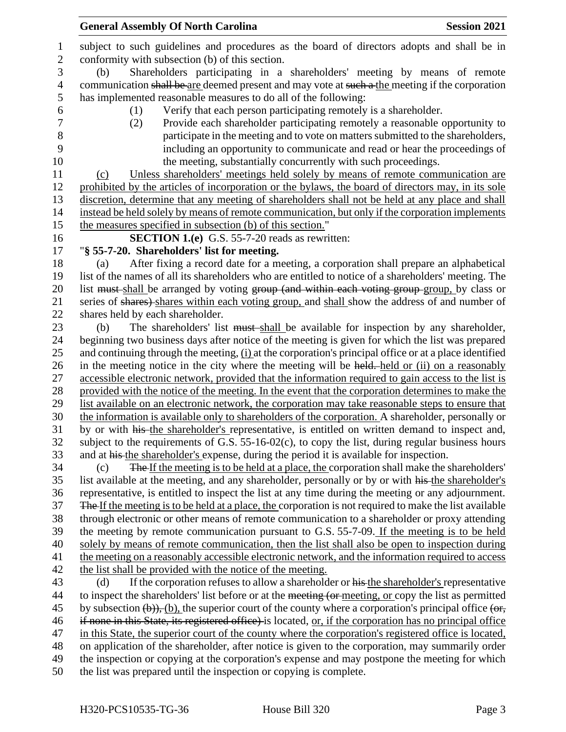| $\mathbf{1}$     | subject to such guidelines and procedures as the board of directors adopts and shall be in                                   |  |  |
|------------------|------------------------------------------------------------------------------------------------------------------------------|--|--|
| $\boldsymbol{2}$ | conformity with subsection (b) of this section.                                                                              |  |  |
| 3                | Shareholders participating in a shareholders' meeting by means of remote<br>(b)                                              |  |  |
| 4                | communication shall be are deemed present and may vote at such a the meeting if the corporation                              |  |  |
| 5                | has implemented reasonable measures to do all of the following:                                                              |  |  |
| 6                | Verify that each person participating remotely is a shareholder.<br>(1)                                                      |  |  |
| $\overline{7}$   | Provide each shareholder participating remotely a reasonable opportunity to<br>(2)                                           |  |  |
| $8\,$            | participate in the meeting and to vote on matters submitted to the shareholders,                                             |  |  |
| 9                | including an opportunity to communicate and read or hear the proceedings of                                                  |  |  |
| 10               | the meeting, substantially concurrently with such proceedings.                                                               |  |  |
| 11               | Unless shareholders' meetings held solely by means of remote communication are<br>(c)                                        |  |  |
| 12               | prohibited by the articles of incorporation or the bylaws, the board of directors may, in its sole                           |  |  |
| 13               | discretion, determine that any meeting of shareholders shall not be held at any place and shall                              |  |  |
| 14               | instead be held solely by means of remote communication, but only if the corporation implements                              |  |  |
| 15               | the measures specified in subsection (b) of this section."                                                                   |  |  |
| 16               | <b>SECTION 1.(e)</b> G.S. 55-7-20 reads as rewritten:                                                                        |  |  |
| 17               | "§ 55-7-20. Shareholders' list for meeting.                                                                                  |  |  |
| 18               | After fixing a record date for a meeting, a corporation shall prepare an alphabetical<br>(a)                                 |  |  |
| 19               | list of the names of all its shareholders who are entitled to notice of a shareholders' meeting. The                         |  |  |
| 20               | list must-shall be arranged by voting group (and within each voting group-group, by class or                                 |  |  |
| 21               | series of shares) shares within each voting group, and shall show the address of and number of                               |  |  |
| 22               | shares held by each shareholder.                                                                                             |  |  |
| 23               | The shareholders' list must shall be available for inspection by any shareholder,<br>(b)                                     |  |  |
| 24               | beginning two business days after notice of the meeting is given for which the list was prepared                             |  |  |
| 25               | and continuing through the meeting, (i) at the corporation's principal office or at a place identified                       |  |  |
| 26               | in the meeting notice in the city where the meeting will be held. held or (ii) on a reasonably                               |  |  |
| 27               | accessible electronic network, provided that the information required to gain access to the list is                          |  |  |
| 28               | provided with the notice of the meeting. In the event that the corporation determines to make the                            |  |  |
| 29               | list available on an electronic network, the corporation may take reasonable steps to ensure that                            |  |  |
| 30               | the information is available only to shareholders of the corporation. A shareholder, personally or                           |  |  |
| 31               | by or with his the shareholder's representative, is entitled on written demand to inspect and,                               |  |  |
| 32               | subject to the requirements of G.S. 55-16-02(c), to copy the list, during regular business hours                             |  |  |
| 33               | and at his the shareholder's expense, during the period it is available for inspection.                                      |  |  |
| 34               | The If the meeting is to be held at a place, the corporation shall make the shareholders'<br>(c)                             |  |  |
| 35               | list available at the meeting, and any shareholder, personally or by or with his the shareholder's                           |  |  |
| 36               | representative, is entitled to inspect the list at any time during the meeting or any adjournment.                           |  |  |
| 37               | The If the meeting is to be held at a place, the corporation is not required to make the list available                      |  |  |
| 38               | through electronic or other means of remote communication to a shareholder or proxy attending                                |  |  |
| 39               | the meeting by remote communication pursuant to G.S. 55-7-09. If the meeting is to be held                                   |  |  |
| 40               | solely by means of remote communication, then the list shall also be open to inspection during                               |  |  |
| 41               | the meeting on a reasonably accessible electronic network, and the information required to access                            |  |  |
| 42               | the list shall be provided with the notice of the meeting.                                                                   |  |  |
| 43               | If the corporation refuses to allow a shareholder or his the shareholder's representative<br>(d)                             |  |  |
| 44               | to inspect the shareholders' list before or at the meeting (or meeting, or copy the list as permitted                        |  |  |
| 45               | by subsection $(\theta)$ , $(\theta)$ , the superior court of the county where a corporation's principal office $(\theta)$ , |  |  |
| 46               | if none in this State, its registered office) is located, or, if the corporation has no principal office                     |  |  |
| 47               | in this State, the superior court of the county where the corporation's registered office is located,                        |  |  |
| 48               | on application of the shareholder, after notice is given to the corporation, may summarily order                             |  |  |
| 49               | the inspection or copying at the corporation's expense and may postpone the meeting for which                                |  |  |
| 50               | the list was prepared until the inspection or copying is complete.                                                           |  |  |
|                  |                                                                                                                              |  |  |

General Assembly Of North Carolina **Session 2021**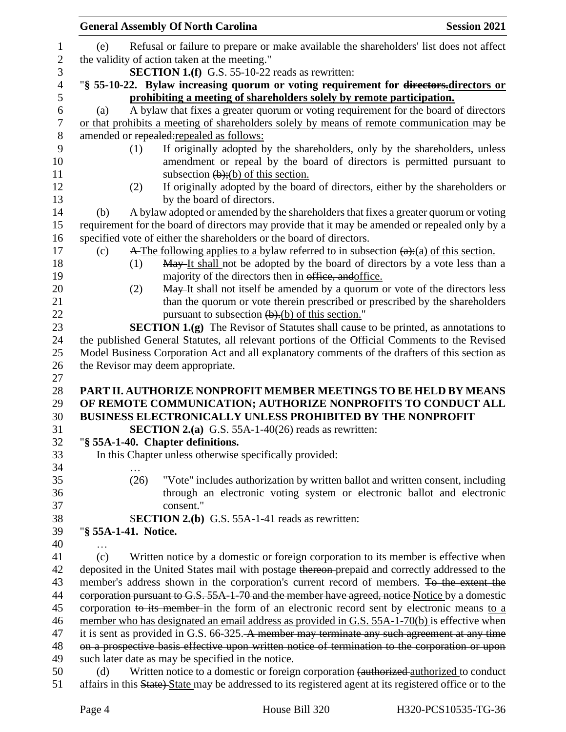|                | <b>General Assembly Of North Carolina</b>                                                                                                                 | <b>Session 2021</b> |
|----------------|-----------------------------------------------------------------------------------------------------------------------------------------------------------|---------------------|
| $\mathbf{1}$   | Refusal or failure to prepare or make available the shareholders' list does not affect<br>(e)                                                             |                     |
| $\sqrt{2}$     | the validity of action taken at the meeting."                                                                                                             |                     |
| 3              | <b>SECTION 1.(f)</b> G.S. 55-10-22 reads as rewritten:                                                                                                    |                     |
| $\overline{4}$ | "§ 55-10-22. Bylaw increasing quorum or voting requirement for directors-directors or                                                                     |                     |
| 5              | prohibiting a meeting of shareholders solely by remote participation.                                                                                     |                     |
| 6              | A bylaw that fixes a greater quorum or voting requirement for the board of directors<br>(a)                                                               |                     |
| $\tau$         | or that prohibits a meeting of shareholders solely by means of remote communication may be                                                                |                     |
| 8              | amended or repealed: repealed as follows:                                                                                                                 |                     |
| 9              | If originally adopted by the shareholders, only by the shareholders, unless<br>(1)                                                                        |                     |
| 10             | amendment or repeal by the board of directors is permitted pursuant to                                                                                    |                     |
| 11             | subsection $(\frac{b}{c})$ ; (b) of this section.                                                                                                         |                     |
| 12             | If originally adopted by the board of directors, either by the shareholders or<br>(2)                                                                     |                     |
| 13             | by the board of directors.                                                                                                                                |                     |
| 14             | A bylaw adopted or amended by the shareholders that fixes a greater quorum or voting<br>(b)                                                               |                     |
| 15             | requirement for the board of directors may provide that it may be amended or repealed only by a                                                           |                     |
| 16             | specified vote of either the shareholders or the board of directors.                                                                                      |                     |
| 17             | $\overline{A}$ The following applies to a bylaw referred to in subsection $(a)$ : (a) of this section.<br>(c)                                             |                     |
| 18             | May It shall not be adopted by the board of directors by a vote less than a<br>(1)                                                                        |                     |
| 19             | majority of the directors then in office, and office.                                                                                                     |                     |
| 20             | May It shall not itself be amended by a quorum or vote of the directors less<br>(2)                                                                       |                     |
| 21             | than the quorum or vote therein prescribed or prescribed by the shareholders                                                                              |                     |
| 22             | pursuant to subsection $(b)$ . (b) of this section."                                                                                                      |                     |
| 23             | <b>SECTION 1.(g)</b> The Revisor of Statutes shall cause to be printed, as annotations to                                                                 |                     |
| 24             | the published General Statutes, all relevant portions of the Official Comments to the Revised                                                             |                     |
| 25             | Model Business Corporation Act and all explanatory comments of the drafters of this section as                                                            |                     |
| 26             | the Revisor may deem appropriate.                                                                                                                         |                     |
| 27             |                                                                                                                                                           |                     |
| 28             | PART II. AUTHORIZE NONPROFIT MEMBER MEETINGS TO BE HELD BY MEANS                                                                                          |                     |
| 29             | OF REMOTE COMMUNICATION; AUTHORIZE NONPROFITS TO CONDUCT ALL                                                                                              |                     |
| 30             | <b>BUSINESS ELECTRONICALLY UNLESS PROHIBITED BY THE NONPROFIT</b>                                                                                         |                     |
| 31             | <b>SECTION 2.(a)</b> G.S. 55A-1-40(26) reads as rewritten:                                                                                                |                     |
| 32             | "§ 55A-1-40. Chapter definitions.                                                                                                                         |                     |
| 33             | In this Chapter unless otherwise specifically provided:                                                                                                   |                     |
| 34             | (26)                                                                                                                                                      |                     |
| 35<br>36       | "Vote" includes authorization by written ballot and written consent, including<br>through an electronic voting system or electronic ballot and electronic |                     |
| 37             | consent."                                                                                                                                                 |                     |
| 38             | SECTION 2.(b) G.S. 55A-1-41 reads as rewritten:                                                                                                           |                     |
| 39             | "§ 55A-1-41. Notice.                                                                                                                                      |                     |
| 40             |                                                                                                                                                           |                     |
| 41             | Written notice by a domestic or foreign corporation to its member is effective when<br>(c)                                                                |                     |
| 42             | deposited in the United States mail with postage thereon-prepaid and correctly addressed to the                                                           |                     |
| 43             | member's address shown in the corporation's current record of members. To the extent the                                                                  |                     |
| 44             | corporation pursuant to G.S. 55A-1-70 and the member have agreed, notice Notice by a domestic                                                             |                     |
| 45             | corporation to its member in the form of an electronic record sent by electronic means to a                                                               |                     |
| 46             | member who has designated an email address as provided in G.S. 55A-1-70(b) is effective when                                                              |                     |
| 47             | it is sent as provided in G.S. 66-325. A member may terminate any such agreement at any time                                                              |                     |
| 48             | on a prospective basis effective upon written notice of termination to the corporation or upon                                                            |                     |
| 49             | such later date as may be specified in the notice.                                                                                                        |                     |
| 50             | Written notice to a domestic or foreign corporation (authorized authorized to conduct<br>(d)                                                              |                     |
| 51             | affairs in this State) State may be addressed to its registered agent at its registered office or to the                                                  |                     |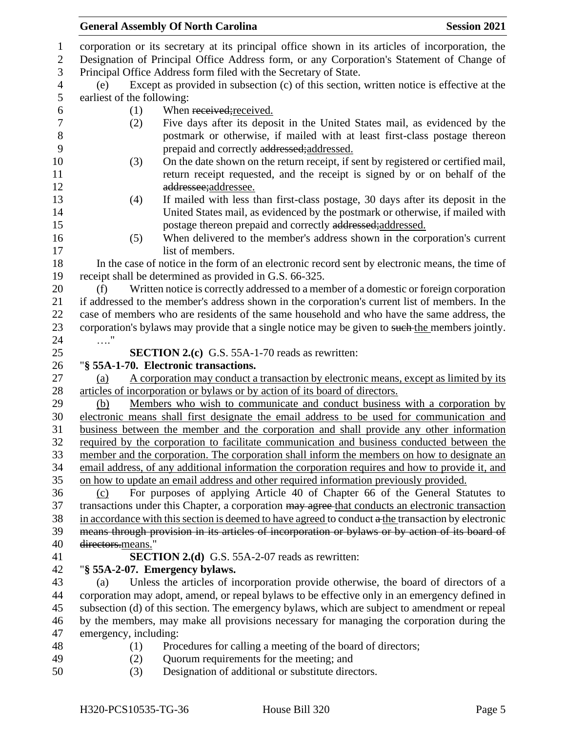corporation or its secretary at its principal office shown in its articles of incorporation, the

 Designation of Principal Office Address form, or any Corporation's Statement of Change of Principal Office Address form filed with the Secretary of State.

 (e) Except as provided in subsection (c) of this section, written notice is effective at the earliest of the following:

- 
- 6 (1) When received; received.
- (2) Five days after its deposit in the United States mail, as evidenced by the postmark or otherwise, if mailed with at least first-class postage thereon prepaid and correctly addressed;addressed.
- (3) On the date shown on the return receipt, if sent by registered or certified mail, return receipt requested, and the receipt is signed by or on behalf of the addressee;addressee.
- (4) If mailed with less than first-class postage, 30 days after its deposit in the United States mail, as evidenced by the postmark or otherwise, if mailed with **postage thereon prepaid and correctly addressed;** addressed.
- (5) When delivered to the member's address shown in the corporation's current 17 list of members.

 In the case of notice in the form of an electronic record sent by electronic means, the time of receipt shall be determined as provided in G.S. 66-325.

 (f) Written notice is correctly addressed to a member of a domestic or foreign corporation if addressed to the member's address shown in the corporation's current list of members. In the case of members who are residents of the same household and who have the same address, the 23 corporation's bylaws may provide that a single notice may be given to such the members jointly. …."

**SECTION 2.(c)** G.S. 55A-1-70 reads as rewritten:

## "**§ 55A-1-70. Electronic transactions.**

 (a) A corporation may conduct a transaction by electronic means, except as limited by its articles of incorporation or bylaws or by action of its board of directors.

 (b) Members who wish to communicate and conduct business with a corporation by electronic means shall first designate the email address to be used for communication and business between the member and the corporation and shall provide any other information required by the corporation to facilitate communication and business conducted between the member and the corporation. The corporation shall inform the members on how to designate an email address, of any additional information the corporation requires and how to provide it, and on how to update an email address and other required information previously provided.

 (c) For purposes of applying Article 40 of Chapter 66 of the General Statutes to 37 transactions under this Chapter, a corporation may agree-that conducts an electronic transaction in accordance with this section is deemed to have agreed to conduct  $\alpha$ -the transaction by electronic means through provision in its articles of incorporation or bylaws or by action of its board of directors.means."

# **SECTION 2.(d)** G.S. 55A-2-07 reads as rewritten:

# "**§ 55A-2-07. Emergency bylaws.**

 (a) Unless the articles of incorporation provide otherwise, the board of directors of a corporation may adopt, amend, or repeal bylaws to be effective only in an emergency defined in subsection (d) of this section. The emergency bylaws, which are subject to amendment or repeal by the members, may make all provisions necessary for managing the corporation during the emergency, including:

- 
- (1) Procedures for calling a meeting of the board of directors;
- (2) Quorum requirements for the meeting; and
- (3) Designation of additional or substitute directors.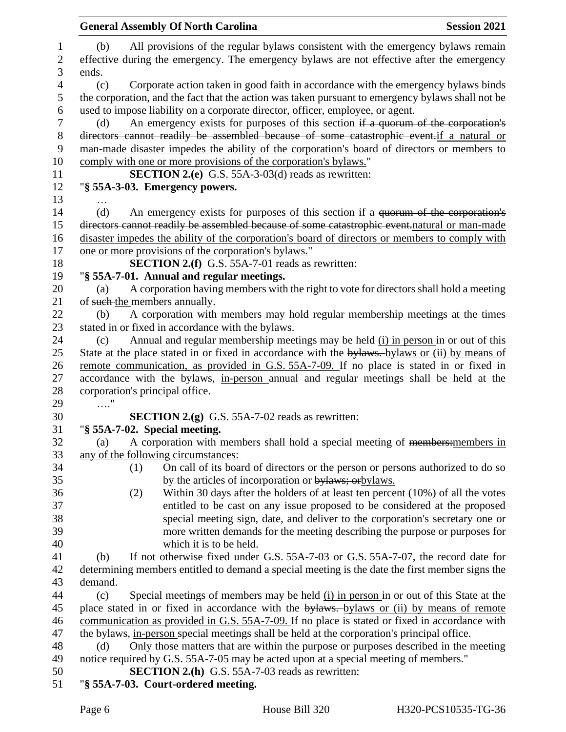| <b>General Assembly Of North Carolina</b>                                                                                                                                                      | <b>Session 2021</b> |
|------------------------------------------------------------------------------------------------------------------------------------------------------------------------------------------------|---------------------|
| All provisions of the regular bylaws consistent with the emergency bylaws remain<br>(b)<br>effective during the emergency. The emergency bylaws are not effective after the emergency<br>ends. |                     |
| Corporate action taken in good faith in accordance with the emergency bylaws binds<br>(c)<br>the corporation, and the fact that the action was taken pursuant to emergency bylaws shall not be |                     |
| used to impose liability on a corporate director, officer, employee, or agent.                                                                                                                 |                     |
| An emergency exists for purposes of this section if a quorum of the corporation's<br>(d)                                                                                                       |                     |
| directors cannot readily be assembled because of some catastrophic event.if a natural or<br>man-made disaster impedes the ability of the corporation's board of directors or members to        |                     |
| comply with one or more provisions of the corporation's bylaws."                                                                                                                               |                     |
| <b>SECTION 2.(e)</b> G.S. 55A-3-03(d) reads as rewritten:                                                                                                                                      |                     |
| "§ 55A-3-03. Emergency powers.                                                                                                                                                                 |                     |
|                                                                                                                                                                                                |                     |
| An emergency exists for purposes of this section if a <del>quorum of the corporation's</del><br>(d)                                                                                            |                     |
| directors cannot readily be assembled because of some catastrophic event.natural or man-made                                                                                                   |                     |
| disaster impedes the ability of the corporation's board of directors or members to comply with                                                                                                 |                     |
| one or more provisions of the corporation's bylaws."                                                                                                                                           |                     |
| <b>SECTION 2.(f)</b> G.S. 55A-7-01 reads as rewritten:                                                                                                                                         |                     |
| "§ 55A-7-01. Annual and regular meetings.                                                                                                                                                      |                     |
| A corporation having members with the right to vote for directors shall hold a meeting<br>(a)                                                                                                  |                     |
| of such the members annually.                                                                                                                                                                  |                     |
| A corporation with members may hold regular membership meetings at the times<br>(b)                                                                                                            |                     |
| stated in or fixed in accordance with the bylaws.                                                                                                                                              |                     |
| Annual and regular membership meetings may be held (i) in person in or out of this<br>(c)<br>State at the place stated in or fixed in accordance with the bylaws. bylaws or (ii) by means of   |                     |
| remote communication, as provided in G.S. 55A-7-09. If no place is stated in or fixed in                                                                                                       |                     |
| accordance with the bylaws, in-person annual and regular meetings shall be held at the                                                                                                         |                     |
| corporation's principal office.                                                                                                                                                                |                     |
| $\ldots$ "                                                                                                                                                                                     |                     |
| <b>SECTION 2.(g)</b> G.S. 55A-7-02 reads as rewritten:                                                                                                                                         |                     |
| "§ 55A-7-02. Special meeting.                                                                                                                                                                  |                     |
| A corporation with members shall hold a special meeting of members: members in<br>(a)                                                                                                          |                     |
| any of the following circumstances:                                                                                                                                                            |                     |
| On call of its board of directors or the person or persons authorized to do so<br>(1)                                                                                                          |                     |
| by the articles of incorporation or bylaws; or bylaws.                                                                                                                                         |                     |
| Within 30 days after the holders of at least ten percent $(10\%)$ of all the votes<br>(2)                                                                                                      |                     |
| entitled to be cast on any issue proposed to be considered at the proposed                                                                                                                     |                     |
| special meeting sign, date, and deliver to the corporation's secretary one or                                                                                                                  |                     |
| more written demands for the meeting describing the purpose or purposes for                                                                                                                    |                     |
| which it is to be held.<br>If not otherwise fixed under G.S. 55A-7-03 or G.S. 55A-7-07, the record date for<br>(b)                                                                             |                     |
| determining members entitled to demand a special meeting is the date the first member signs the                                                                                                |                     |
| demand.                                                                                                                                                                                        |                     |
| Special meetings of members may be held (i) in person in or out of this State at the<br>(c)                                                                                                    |                     |
| place stated in or fixed in accordance with the bylaws. bylaws or (ii) by means of remote                                                                                                      |                     |
| communication as provided in G.S. 55A-7-09. If no place is stated or fixed in accordance with                                                                                                  |                     |
| the bylaws, in-person special meetings shall be held at the corporation's principal office.                                                                                                    |                     |
| Only those matters that are within the purpose or purposes described in the meeting<br>(d)                                                                                                     |                     |
| notice required by G.S. 55A-7-05 may be acted upon at a special meeting of members."                                                                                                           |                     |
| <b>SECTION 2.(h)</b> G.S. 55A-7-03 reads as rewritten:                                                                                                                                         |                     |
| "§ 55A-7-03. Court-ordered meeting.                                                                                                                                                            |                     |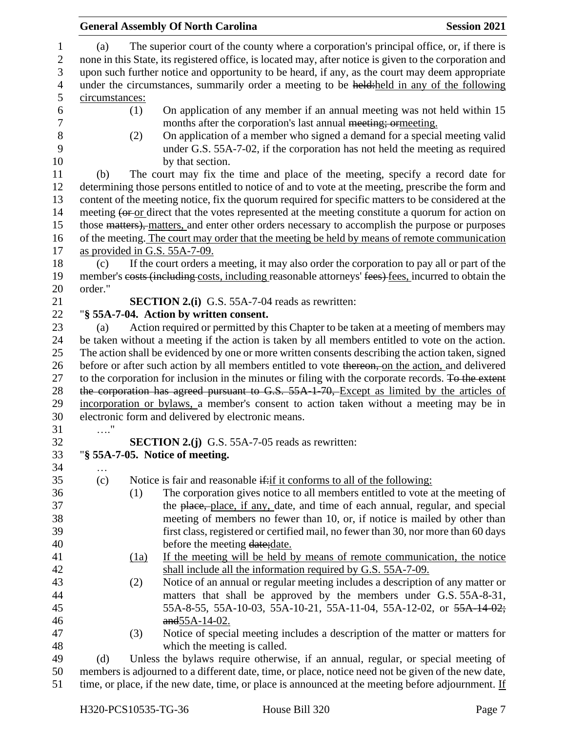|                            | <b>General Assembly Of North Carolina</b>                                                                                                                                                                  |                                                                                                     |                                                                                                                                                                                                                          | <b>Session 2021</b> |  |
|----------------------------|------------------------------------------------------------------------------------------------------------------------------------------------------------------------------------------------------------|-----------------------------------------------------------------------------------------------------|--------------------------------------------------------------------------------------------------------------------------------------------------------------------------------------------------------------------------|---------------------|--|
| 1<br>$\boldsymbol{2}$      | The superior court of the county where a corporation's principal office, or, if there is<br>(a)<br>none in this State, its registered office, is located may, after notice is given to the corporation and |                                                                                                     |                                                                                                                                                                                                                          |                     |  |
| 3                          | upon such further notice and opportunity to be heard, if any, as the court may deem appropriate                                                                                                            |                                                                                                     |                                                                                                                                                                                                                          |                     |  |
| $\overline{4}$             | under the circumstances, summarily order a meeting to be held:held in any of the following                                                                                                                 |                                                                                                     |                                                                                                                                                                                                                          |                     |  |
| 5                          | circumstances:                                                                                                                                                                                             |                                                                                                     |                                                                                                                                                                                                                          |                     |  |
| 6<br>$\boldsymbol{7}$<br>8 |                                                                                                                                                                                                            | (1)<br>(2)                                                                                          | On application of any member if an annual meeting was not held within 15<br>months after the corporation's last annual meeting; ormeeting.<br>On application of a member who signed a demand for a special meeting valid |                     |  |
| 9<br>10                    |                                                                                                                                                                                                            |                                                                                                     | under G.S. 55A-7-02, if the corporation has not held the meeting as required<br>by that section.                                                                                                                         |                     |  |
| 11                         | (b)                                                                                                                                                                                                        |                                                                                                     | The court may fix the time and place of the meeting, specify a record date for                                                                                                                                           |                     |  |
| 12                         |                                                                                                                                                                                                            |                                                                                                     | determining those persons entitled to notice of and to vote at the meeting, prescribe the form and                                                                                                                       |                     |  |
| 13                         |                                                                                                                                                                                                            |                                                                                                     | content of the meeting notice, fix the quorum required for specific matters to be considered at the                                                                                                                      |                     |  |
| 14                         |                                                                                                                                                                                                            |                                                                                                     | meeting (or or direct that the votes represented at the meeting constitute a quorum for action on                                                                                                                        |                     |  |
| 15                         |                                                                                                                                                                                                            |                                                                                                     | those matters), matters, and enter other orders necessary to accomplish the purpose or purposes                                                                                                                          |                     |  |
| 16<br>17                   |                                                                                                                                                                                                            |                                                                                                     | of the meeting. The court may order that the meeting be held by means of remote communication<br>as provided in G.S. 55A-7-09.                                                                                           |                     |  |
| 18                         | (c)                                                                                                                                                                                                        |                                                                                                     | If the court orders a meeting, it may also order the corporation to pay all or part of the                                                                                                                               |                     |  |
| 19                         |                                                                                                                                                                                                            |                                                                                                     | member's costs (including costs, including reasonable attorneys' fees) fees, incurred to obtain the                                                                                                                      |                     |  |
| 20                         | order."                                                                                                                                                                                                    |                                                                                                     |                                                                                                                                                                                                                          |                     |  |
| 21                         |                                                                                                                                                                                                            |                                                                                                     | <b>SECTION 2.(i)</b> G.S. 55A-7-04 reads as rewritten:                                                                                                                                                                   |                     |  |
|                            |                                                                                                                                                                                                            |                                                                                                     |                                                                                                                                                                                                                          |                     |  |
| 22                         |                                                                                                                                                                                                            |                                                                                                     | "§ 55A-7-04. Action by written consent.                                                                                                                                                                                  |                     |  |
| 23                         | (a)                                                                                                                                                                                                        |                                                                                                     | Action required or permitted by this Chapter to be taken at a meeting of members may                                                                                                                                     |                     |  |
| 24                         |                                                                                                                                                                                                            |                                                                                                     | be taken without a meeting if the action is taken by all members entitled to vote on the action.                                                                                                                         |                     |  |
| 25                         |                                                                                                                                                                                                            | The action shall be evidenced by one or more written consents describing the action taken, signed   |                                                                                                                                                                                                                          |                     |  |
| 26                         |                                                                                                                                                                                                            |                                                                                                     | before or after such action by all members entitled to vote thereon, on the action, and delivered                                                                                                                        |                     |  |
| 27                         |                                                                                                                                                                                                            |                                                                                                     | to the corporation for inclusion in the minutes or filing with the corporate records. To the extent                                                                                                                      |                     |  |
| 28                         |                                                                                                                                                                                                            |                                                                                                     | the corporation has agreed pursuant to G.S. 55A-1-70, Except as limited by the articles of                                                                                                                               |                     |  |
| 29                         |                                                                                                                                                                                                            |                                                                                                     | incorporation or bylaws, a member's consent to action taken without a meeting may be in                                                                                                                                  |                     |  |
| 30                         |                                                                                                                                                                                                            |                                                                                                     | electronic form and delivered by electronic means.                                                                                                                                                                       |                     |  |
| 31                         | $\cdots$                                                                                                                                                                                                   |                                                                                                     |                                                                                                                                                                                                                          |                     |  |
| 32                         |                                                                                                                                                                                                            |                                                                                                     | <b>SECTION 2.(j)</b> G.S. 55A-7-05 reads as rewritten:                                                                                                                                                                   |                     |  |
| 33                         |                                                                                                                                                                                                            |                                                                                                     | "§ 55A-7-05. Notice of meeting.                                                                                                                                                                                          |                     |  |
| 34                         | .                                                                                                                                                                                                          |                                                                                                     |                                                                                                                                                                                                                          |                     |  |
| 35                         | (c)                                                                                                                                                                                                        |                                                                                                     | Notice is fair and reasonable if: if it conforms to all of the following:                                                                                                                                                |                     |  |
| 36                         |                                                                                                                                                                                                            | (1)                                                                                                 | The corporation gives notice to all members entitled to vote at the meeting of                                                                                                                                           |                     |  |
| 37                         |                                                                                                                                                                                                            |                                                                                                     | the place, place, if any, date, and time of each annual, regular, and special                                                                                                                                            |                     |  |
| 38                         |                                                                                                                                                                                                            |                                                                                                     | meeting of members no fewer than 10, or, if notice is mailed by other than                                                                                                                                               |                     |  |
| 39                         |                                                                                                                                                                                                            |                                                                                                     | first class, registered or certified mail, no fewer than 30, nor more than 60 days                                                                                                                                       |                     |  |
| 40                         |                                                                                                                                                                                                            |                                                                                                     | before the meeting date; date.                                                                                                                                                                                           |                     |  |
| 41                         |                                                                                                                                                                                                            | $\frac{(1a)}{2}$                                                                                    | If the meeting will be held by means of remote communication, the notice                                                                                                                                                 |                     |  |
| 42                         |                                                                                                                                                                                                            |                                                                                                     | shall include all the information required by G.S. 55A-7-09.                                                                                                                                                             |                     |  |
| 43                         |                                                                                                                                                                                                            | (2)                                                                                                 | Notice of an annual or regular meeting includes a description of any matter or                                                                                                                                           |                     |  |
| 44                         |                                                                                                                                                                                                            |                                                                                                     | matters that shall be approved by the members under G.S. 55A-8-31,                                                                                                                                                       |                     |  |
| 45                         |                                                                                                                                                                                                            |                                                                                                     |                                                                                                                                                                                                                          |                     |  |
| 46                         | 55A-8-55, 55A-10-03, 55A-10-21, 55A-11-04, 55A-12-02, or 55A-14-02;                                                                                                                                        |                                                                                                     |                                                                                                                                                                                                                          |                     |  |
|                            |                                                                                                                                                                                                            |                                                                                                     | $and 55A-14-02.$                                                                                                                                                                                                         |                     |  |
| 47                         |                                                                                                                                                                                                            | (3)                                                                                                 | Notice of special meeting includes a description of the matter or matters for                                                                                                                                            |                     |  |
| 48                         |                                                                                                                                                                                                            |                                                                                                     | which the meeting is called.                                                                                                                                                                                             |                     |  |
| 49                         | Unless the bylaws require otherwise, if an annual, regular, or special meeting of<br>(d)                                                                                                                   |                                                                                                     |                                                                                                                                                                                                                          |                     |  |
| 50                         |                                                                                                                                                                                                            | members is adjourned to a different date, time, or place, notice need not be given of the new date, |                                                                                                                                                                                                                          |                     |  |
| 51                         | time, or place, if the new date, time, or place is announced at the meeting before adjournment. If                                                                                                         |                                                                                                     |                                                                                                                                                                                                                          |                     |  |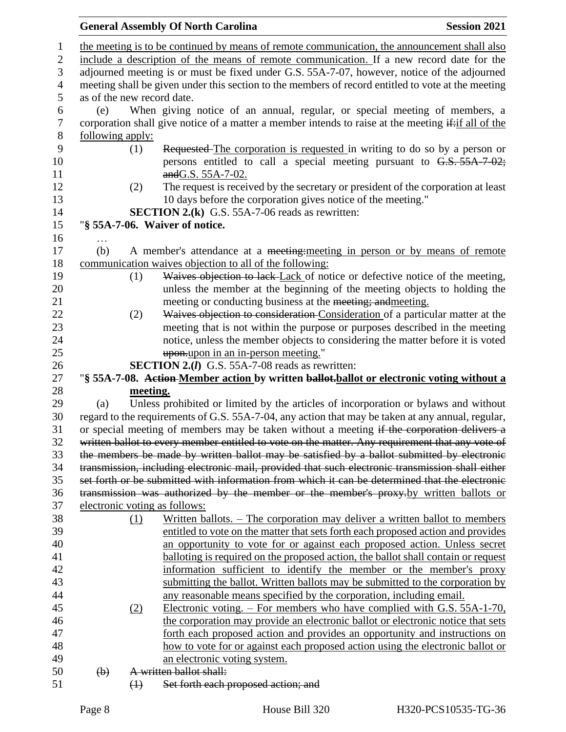#### **General Assembly Of North Carolina Session 2021**  the meeting is to be continued by means of remote communication, the announcement shall also include a description of the means of remote communication. If a new record date for the adjourned meeting is or must be fixed under G.S. 55A-7-07, however, notice of the adjourned meeting shall be given under this section to the members of record entitled to vote at the meeting as of the new record date. (e) When giving notice of an annual, regular, or special meeting of members, a 7 corporation shall give notice of a matter a member intends to raise at the meeting if:if all of the following apply: (1) Requested The corporation is requested in writing to do so by a person or 10 persons entitled to call a special meeting pursuant to G.S. 55A-7-02; **and G.S. 55A-7-02.**  (2) The request is received by the secretary or president of the corporation at least 10 days before the corporation gives notice of the meeting." **SECTION 2.(k)** G.S. 55A-7-06 reads as rewritten: "**§ 55A-7-06. Waiver of notice.** … (b) A member's attendance at a meeting:meeting in person or by means of remote communication waives objection to all of the following: 19 (1) Waives objection to lack Lack of notice or defective notice of the meeting, unless the member at the beginning of the meeting objects to holding the meeting or conducting business at the meeting; andmeeting. (2) Waives objection to consideration Consideration of a particular matter at the meeting that is not within the purpose or purposes described in the meeting notice, unless the member objects to considering the matter before it is voted upon.upon in an in-person meeting." **SECTION 2.(***l***)** G.S. 55A-7-08 reads as rewritten: "**§ 55A-7-08. Action Member action by written ballot.ballot or electronic voting without a meeting.** (a) Unless prohibited or limited by the articles of incorporation or bylaws and without regard to the requirements of G.S. 55A-7-04, any action that may be taken at any annual, regular, 31 or special meeting of members may be taken without a meeting if the corporation delivers a written ballot to every member entitled to vote on the matter. Any requirement that any vote of the members be made by written ballot may be satisfied by a ballot submitted by electronic transmission, including electronic mail, provided that such electronic transmission shall either set forth or be submitted with information from which it can be determined that the electronic transmission was authorized by the member or the member's proxy.by written ballots or electronic voting as follows: (1) Written ballots. – The corporation may deliver a written ballot to members entitled to vote on the matter that sets forth each proposed action and provides an opportunity to vote for or against each proposed action. Unless secret balloting is required on the proposed action, the ballot shall contain or request information sufficient to identify the member or the member's proxy submitting the ballot. Written ballots may be submitted to the corporation by any reasonable means specified by the corporation, including email. (2) Electronic voting. – For members who have complied with G.S. 55A-1-70, the corporation may provide an electronic ballot or electronic notice that sets forth each proposed action and provides an opportunity and instructions on how to vote for or against each proposed action using the electronic ballot or an electronic voting system. (b) A written ballot shall: (1) Set forth each proposed action; and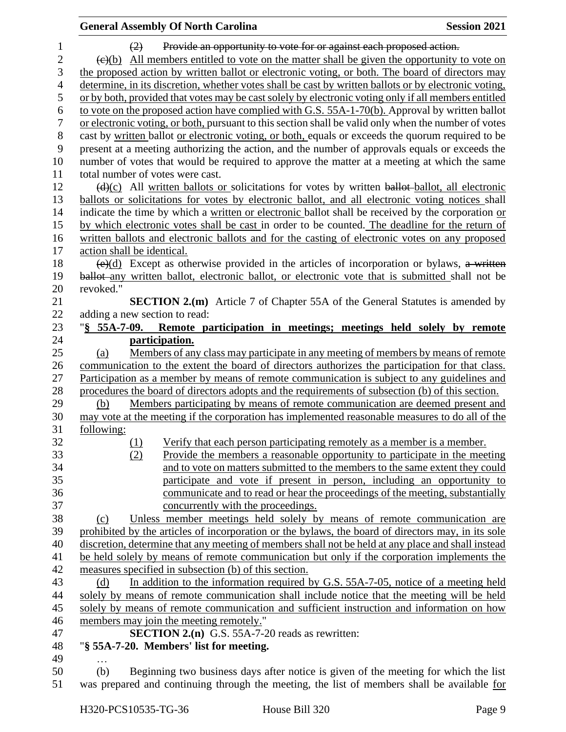|                  | <b>General Assembly Of North Carolina</b>                                                                     | <b>Session 2021</b> |  |
|------------------|---------------------------------------------------------------------------------------------------------------|---------------------|--|
| $\mathbf{1}$     | Provide an opportunity to vote for or against each proposed action.<br>(2)                                    |                     |  |
| $\boldsymbol{2}$ | $\leftrightarrow$ (e)(b) All members entitled to vote on the matter shall be given the opportunity to vote on |                     |  |
| 3                | the proposed action by written ballot or electronic voting, or both. The board of directors may               |                     |  |
| $\overline{4}$   | determine, in its discretion, whether votes shall be cast by written ballots or by electronic voting,         |                     |  |
| 5                | or by both, provided that votes may be cast solely by electronic voting only if all members entitled          |                     |  |
| 6                | to vote on the proposed action have complied with G.S. 55A-1-70(b). Approval by written ballot                |                     |  |
| $\boldsymbol{7}$ | or electronic voting, or both, pursuant to this section shall be valid only when the number of votes          |                     |  |
| $8\,$            | cast by written ballot or electronic voting, or both, equals or exceeds the quorum required to be             |                     |  |
| 9                | present at a meeting authorizing the action, and the number of approvals equals or exceeds the                |                     |  |
| 10               | number of votes that would be required to approve the matter at a meeting at which the same                   |                     |  |
| 11               | total number of votes were cast.                                                                              |                     |  |
| 12               | $\frac{d(x)}{dx}$ All written ballots or solicitations for votes by written ballot-ballot, all electronic     |                     |  |
| 13               | ballots or solicitations for votes by electronic ballot, and all electronic voting notices shall              |                     |  |
| 14               | indicate the time by which a written or electronic ballot shall be received by the corporation or             |                     |  |
| 15               | by which electronic votes shall be cast in order to be counted. The deadline for the return of                |                     |  |
| 16               | written ballots and electronic ballots and for the casting of electronic votes on any proposed                |                     |  |
| 17               | action shall be identical.                                                                                    |                     |  |
| 18               | $\overline{(e)(d)}$ Except as otherwise provided in the articles of incorporation or bylaws, a written        |                     |  |
| 19               | ballot-any written ballot, electronic ballot, or electronic vote that is submitted shall not be               |                     |  |
| 20               | revoked."                                                                                                     |                     |  |
| 21               | <b>SECTION 2.(m)</b> Article 7 of Chapter 55A of the General Statutes is amended by                           |                     |  |
| 22               | adding a new section to read:                                                                                 |                     |  |
| 23               | "§ 55A-7-09. Remote participation in meetings; meetings held solely by remote                                 |                     |  |
| 24               | participation.                                                                                                |                     |  |
| 25               | Members of any class may participate in any meeting of members by means of remote<br>(a)                      |                     |  |
| 26               | communication to the extent the board of directors authorizes the participation for that class.               |                     |  |
| 27               | Participation as a member by means of remote communication is subject to any guidelines and                   |                     |  |
| 28               | procedures the board of directors adopts and the requirements of subsection (b) of this section.              |                     |  |
| 29               | Members participating by means of remote communication are deemed present and<br>(b)                          |                     |  |
| 30               | may vote at the meeting if the corporation has implemented reasonable measures to do all of the               |                     |  |
| 31               | following:                                                                                                    |                     |  |
| 32               | (1)<br>Verify that each person participating remotely as a member is a member.                                |                     |  |
| 33               | Provide the members a reasonable opportunity to participate in the meeting<br>(2)                             |                     |  |
| 34               | and to vote on matters submitted to the members to the same extent they could                                 |                     |  |
| 35               | participate and vote if present in person, including an opportunity to                                        |                     |  |
| 36               | communicate and to read or hear the proceedings of the meeting, substantially                                 |                     |  |
| 37               | concurrently with the proceedings.                                                                            |                     |  |
| 38               | Unless member meetings held solely by means of remote communication are<br>(c)                                |                     |  |
| 39               | prohibited by the articles of incorporation or the bylaws, the board of directors may, in its sole            |                     |  |
| 40               | discretion, determine that any meeting of members shall not be held at any place and shall instead            |                     |  |
| 41               | be held solely by means of remote communication but only if the corporation implements the                    |                     |  |
| 42               | measures specified in subsection (b) of this section.                                                         |                     |  |
| 43               | In addition to the information required by G.S. 55A-7-05, notice of a meeting held<br>(d)                     |                     |  |
| 44               | solely by means of remote communication shall include notice that the meeting will be held                    |                     |  |
| 45               | solely by means of remote communication and sufficient instruction and information on how                     |                     |  |
| 46               | members may join the meeting remotely."                                                                       |                     |  |
| 47               | <b>SECTION 2.(n)</b> G.S. 55A-7-20 reads as rewritten:                                                        |                     |  |
| 48               | "§ 55A-7-20. Members' list for meeting.                                                                       |                     |  |
| 49               |                                                                                                               |                     |  |
| 50               | Beginning two business days after notice is given of the meeting for which the list<br>(b)                    |                     |  |
| 51               | was prepared and continuing through the meeting, the list of members shall be available for                   |                     |  |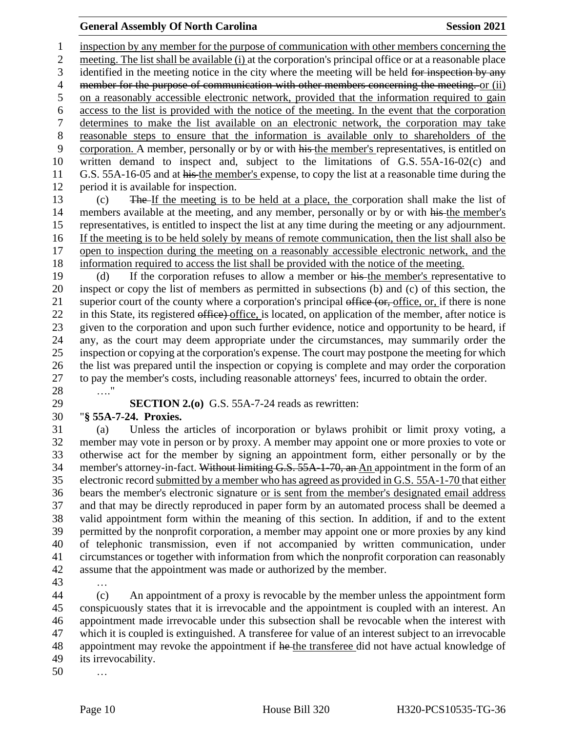#### **General Assembly Of North Carolina Session 2021**

 inspection by any member for the purpose of communication with other members concerning the meeting. The list shall be available (i) at the corporation's principal office or at a reasonable place 3 identified in the meeting notice in the city where the meeting will be held for inspection by any 4 member for the purpose of communication with other members concerning the meeting. or (ii) 5 on a reasonably accessible electronic network, provided that the information required to gain access to the list is provided with the notice of the meeting. In the event that the corporation determines to make the list available on an electronic network, the corporation may take reasonable steps to ensure that the information is available only to shareholders of the corporation. A member, personally or by or with his the member's representatives, is entitled on written demand to inspect and, subject to the limitations of G.S. 55A-16-02(c) and 11 G.S. 55A-16-05 and at his the member's expense, to copy the list at a reasonable time during the period it is available for inspection.

 (c) The If the meeting is to be held at a place, the corporation shall make the list of 14 members available at the meeting, and any member, personally or by or with his the member's representatives, is entitled to inspect the list at any time during the meeting or any adjournment. If the meeting is to be held solely by means of remote communication, then the list shall also be open to inspection during the meeting on a reasonably accessible electronic network, and the information required to access the list shall be provided with the notice of the meeting.

 (d) If the corporation refuses to allow a member or his the member's representative to inspect or copy the list of members as permitted in subsections (b) and (c) of this section, the 21 superior court of the county where a corporation's principal office (or, office, or, if there is none 22 in this State, its registered office) office, is located, on application of the member, after notice is given to the corporation and upon such further evidence, notice and opportunity to be heard, if any, as the court may deem appropriate under the circumstances, may summarily order the inspection or copying at the corporation's expense. The court may postpone the meeting for which the list was prepared until the inspection or copying is complete and may order the corporation to pay the member's costs, including reasonable attorneys' fees, incurred to obtain the order. …."

**SECTION 2.(o)** G.S. 55A-7-24 reads as rewritten:

### "**§ 55A-7-24. Proxies.**

 (a) Unless the articles of incorporation or bylaws prohibit or limit proxy voting, a member may vote in person or by proxy. A member may appoint one or more proxies to vote or otherwise act for the member by signing an appointment form, either personally or by the 34 member's attorney-in-fact. Without limiting G.S. 55A-1-70, an An appointment in the form of an electronic record submitted by a member who has agreed as provided in G.S. 55A-1-70 that either bears the member's electronic signature or is sent from the member's designated email address and that may be directly reproduced in paper form by an automated process shall be deemed a valid appointment form within the meaning of this section. In addition, if and to the extent permitted by the nonprofit corporation, a member may appoint one or more proxies by any kind of telephonic transmission, even if not accompanied by written communication, under circumstances or together with information from which the nonprofit corporation can reasonably assume that the appointment was made or authorized by the member.

…

 (c) An appointment of a proxy is revocable by the member unless the appointment form conspicuously states that it is irrevocable and the appointment is coupled with an interest. An appointment made irrevocable under this subsection shall be revocable when the interest with which it is coupled is extinguished. A transferee for value of an interest subject to an irrevocable 48 appointment may revoke the appointment if he the transferee did not have actual knowledge of its irrevocability.

…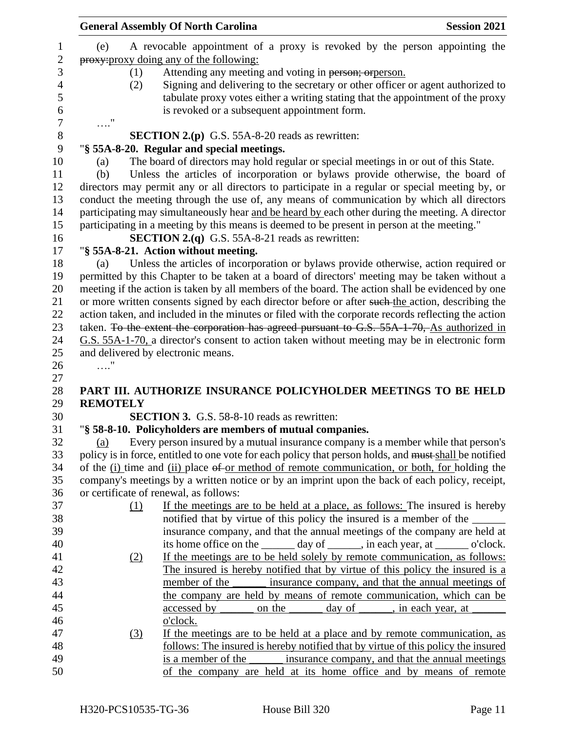|                 | <b>General Assembly Of North Carolina</b><br><b>Session 2021</b>                                                                           |
|-----------------|--------------------------------------------------------------------------------------------------------------------------------------------|
| (e)             | A revocable appointment of a proxy is revoked by the person appointing the                                                                 |
|                 | proxy: proxy doing any of the following:                                                                                                   |
| (1)             | Attending any meeting and voting in person; orperson.                                                                                      |
| (2)             | Signing and delivering to the secretary or other officer or agent authorized to                                                            |
|                 | tabulate proxy votes either a writing stating that the appointment of the proxy                                                            |
|                 | is revoked or a subsequent appointment form.                                                                                               |
|                 |                                                                                                                                            |
|                 | <b>SECTION 2.(p)</b> G.S. 55A-8-20 reads as rewritten:                                                                                     |
|                 | "§ 55A-8-20. Regular and special meetings.                                                                                                 |
| (a)             | The board of directors may hold regular or special meetings in or out of this State.                                                       |
| (b)             | Unless the articles of incorporation or bylaws provide otherwise, the board of                                                             |
|                 | directors may permit any or all directors to participate in a regular or special meeting by, or                                            |
|                 | conduct the meeting through the use of, any means of communication by which all directors                                                  |
|                 | participating may simultaneously hear and be heard by each other during the meeting. A director                                            |
|                 | participating in a meeting by this means is deemed to be present in person at the meeting."                                                |
|                 | <b>SECTION 2.(q)</b> G.S. 55A-8-21 reads as rewritten:                                                                                     |
|                 | "§ 55A-8-21. Action without meeting.                                                                                                       |
| (a)             | Unless the articles of incorporation or bylaws provide otherwise, action required or                                                       |
|                 | permitted by this Chapter to be taken at a board of directors' meeting may be taken without a                                              |
|                 | meeting if the action is taken by all members of the board. The action shall be evidenced by one                                           |
|                 | or more written consents signed by each director before or after such the action, describing the                                           |
|                 | action taken, and included in the minutes or filed with the corporate records reflecting the action                                        |
|                 | taken. To the extent the corporation has agreed pursuant to G.S. 55A-1-70, As authorized in                                                |
|                 | G.S. 55A-1-70, a director's consent to action taken without meeting may be in electronic form                                              |
|                 | and delivered by electronic means.                                                                                                         |
|                 |                                                                                                                                            |
|                 |                                                                                                                                            |
|                 | PART III. AUTHORIZE INSURANCE POLICYHOLDER MEETINGS TO BE HELD                                                                             |
| <b>REMOTELY</b> |                                                                                                                                            |
|                 | <b>SECTION 3.</b> G.S. 58-8-10 reads as rewritten:                                                                                         |
|                 | "§ 58-8-10. Policyholders are members of mutual companies.                                                                                 |
| (a)             | Every person insured by a mutual insurance company is a member while that person's                                                         |
|                 | policy is in force, entitled to one vote for each policy that person holds, and must shall be notified                                     |
|                 | of the (i) time and (ii) place of or method of remote communication, or both, for holding the                                              |
|                 | company's meetings by a written notice or by an imprint upon the back of each policy, receipt,                                             |
|                 | or certificate of renewal, as follows:                                                                                                     |
|                 | If the meetings are to be held at a place, as follows: The insured is hereby<br>(1)                                                        |
|                 | notified that by virtue of this policy the insured is a member of the ______                                                               |
|                 | insurance company, and that the annual meetings of the company are held at                                                                 |
|                 | its home office on the _______ day of ______, in each year, at _______ o'clock.                                                            |
| <u>(2)</u>      | If the meetings are to be held solely by remote communication, as follows:                                                                 |
|                 | The insured is hereby notified that by virtue of this policy the insured is a                                                              |
|                 | member of the<br>insurance company, and that the annual meetings of                                                                        |
|                 | the company are held by means of remote communication, which can be                                                                        |
|                 | accessed by<br>on the<br>day of _______, in each year, at                                                                                  |
|                 | o'clock.<br>If the meetings are to be held at a place and by remote communication, as                                                      |
| (3)             |                                                                                                                                            |
|                 |                                                                                                                                            |
|                 | follows: The insured is hereby notified that by virtue of this policy the insured                                                          |
|                 | insurance company, and that the annual meetings<br>is a member of the<br>of the company are held at its home office and by means of remote |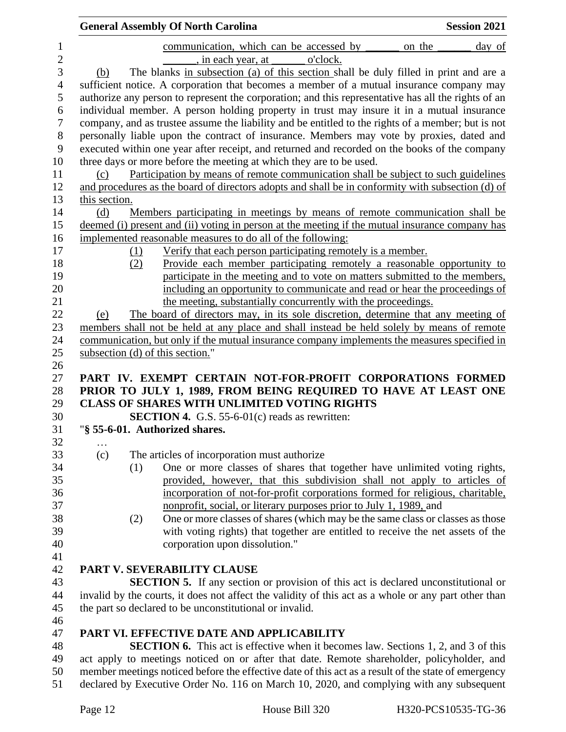|               |     | <b>General Assembly Of North Carolina</b>                                                                                                                                       | <b>Session 2021</b> |
|---------------|-----|---------------------------------------------------------------------------------------------------------------------------------------------------------------------------------|---------------------|
|               |     | communication, which can be accessed by                                                                                                                                         | on the<br>day of    |
|               |     | , in each year, at<br>o'clock.                                                                                                                                                  |                     |
| (b)           |     | The blanks in subsection (a) of this section shall be duly filled in print and are a                                                                                            |                     |
|               |     | sufficient notice. A corporation that becomes a member of a mutual insurance company may                                                                                        |                     |
|               |     | authorize any person to represent the corporation; and this representative has all the rights of an                                                                             |                     |
|               |     | individual member. A person holding property in trust may insure it in a mutual insurance                                                                                       |                     |
|               |     | company, and as trustee assume the liability and be entitled to the rights of a member; but is not                                                                              |                     |
|               |     | personally liable upon the contract of insurance. Members may vote by proxies, dated and                                                                                        |                     |
|               |     | executed within one year after receipt, and returned and recorded on the books of the company                                                                                   |                     |
|               |     | three days or more before the meeting at which they are to be used.                                                                                                             |                     |
| (c)           |     | Participation by means of remote communication shall be subject to such guidelines                                                                                              |                     |
|               |     | and procedures as the board of directors adopts and shall be in conformity with subsection (d) of                                                                               |                     |
| this section. |     |                                                                                                                                                                                 |                     |
| (d)           |     | Members participating in meetings by means of remote communication shall be                                                                                                     |                     |
|               |     | deemed (i) present and (ii) voting in person at the meeting if the mutual insurance company has                                                                                 |                     |
|               |     | implemented reasonable measures to do all of the following:                                                                                                                     |                     |
|               | (1) | Verify that each person participating remotely is a member.                                                                                                                     |                     |
|               | (2) | Provide each member participating remotely a reasonable opportunity to                                                                                                          |                     |
|               |     | participate in the meeting and to vote on matters submitted to the members,                                                                                                     |                     |
|               |     | including an opportunity to communicate and read or hear the proceedings of                                                                                                     |                     |
|               |     | the meeting, substantially concurrently with the proceedings.                                                                                                                   |                     |
| (e)           |     | The board of directors may, in its sole discretion, determine that any meeting of<br>members shall not be held at any place and shall instead be held solely by means of remote |                     |
|               |     | communication, but only if the mutual insurance company implements the measures specified in                                                                                    |                     |
|               |     | subsection (d) of this section."                                                                                                                                                |                     |
|               |     |                                                                                                                                                                                 |                     |
|               |     | PART IV. EXEMPT CERTAIN NOT-FOR-PROFIT CORPORATIONS FORMED                                                                                                                      |                     |
|               |     | PRIOR TO JULY 1, 1989, FROM BEING REQUIRED TO HAVE AT LEAST ONE                                                                                                                 |                     |
|               |     | <b>CLASS OF SHARES WITH UNLIMITED VOTING RIGHTS</b>                                                                                                                             |                     |
|               |     | <b>SECTION 4.</b> G.S. 55-6-01 $(c)$ reads as rewritten:                                                                                                                        |                     |
|               |     | "§ 55-6-01. Authorized shares.                                                                                                                                                  |                     |
| .             |     |                                                                                                                                                                                 |                     |
| (c)           |     | The articles of incorporation must authorize                                                                                                                                    |                     |
|               | (1) | One or more classes of shares that together have unlimited voting rights,                                                                                                       |                     |
|               |     | provided, however, that this subdivision shall not apply to articles of                                                                                                         |                     |
|               |     | incorporation of not-for-profit corporations formed for religious, charitable,                                                                                                  |                     |
|               |     | nonprofit, social, or literary purposes prior to July 1, 1989, and                                                                                                              |                     |
|               | (2) | One or more classes of shares (which may be the same class or classes as those                                                                                                  |                     |
|               |     | with voting rights) that together are entitled to receive the net assets of the                                                                                                 |                     |
|               |     | corporation upon dissolution."                                                                                                                                                  |                     |
|               |     |                                                                                                                                                                                 |                     |
|               |     | PART V. SEVERABILITY CLAUSE                                                                                                                                                     |                     |
|               |     | <b>SECTION 5.</b> If any section or provision of this act is declared unconstitutional or                                                                                       |                     |
|               |     | invalid by the courts, it does not affect the validity of this act as a whole or any part other than                                                                            |                     |
|               |     | the part so declared to be unconstitutional or invalid.                                                                                                                         |                     |
|               |     |                                                                                                                                                                                 |                     |
|               |     | PART VI. EFFECTIVE DATE AND APPLICABILITY                                                                                                                                       |                     |
|               |     | <b>SECTION 6.</b> This act is effective when it becomes law. Sections 1, 2, and 3 of this                                                                                       |                     |
|               |     | act apply to meetings noticed on or after that date. Remote shareholder, policyholder, and                                                                                      |                     |
|               |     | member meetings noticed before the effective date of this act as a result of the state of emergency                                                                             |                     |

declared by Executive Order No. 116 on March 10, 2020, and complying with any subsequent